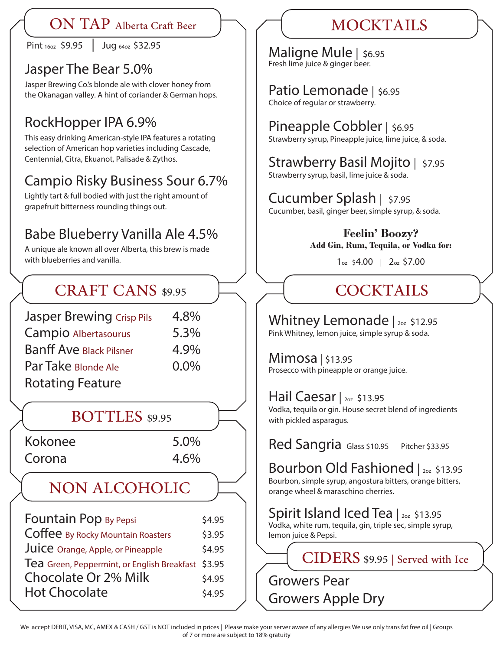### ON TAP Alberta Craft Beer MOCKTAILS

Pint 16oz \$9.95 | Jug 64oz \$32.95

### Jasper The Bear 5.0%

Jasper Brewing Co.'s blonde ale with clover honey from the Okanagan valley. A hint of coriander & German hops.

# RockHopper IPA 6.9%

This easy drinking American-style IPA features a rotating selection of American hop varieties including Cascade, Centennial, Citra, Ekuanot, Palisade & Zythos.

# Campio Risky Business Sour 6.7%

Lightly tart & full bodied with just the right amount of grapefruit bitterness rounding things out.

## Babe Blueberry Vanilla Ale 4.5%

A unique ale known all over Alberta, this brew is made with blueberries and vanilla.

# CRAFT CANS \$9.95

| <b>Jasper Brewing Crisp Pils</b> | 4.8%    |
|----------------------------------|---------|
| Campio Albertasourus             | 5.3%    |
| <b>Banff Ave Black Pilsner</b>   | 4.9%    |
| Par Take Blonde Ale              | $0.0\%$ |
| <b>Rotating Feature</b>          |         |

BOTTLES \$9.95

Kokonee 5.0% Corona 4.6%

# NON ALCOHOLIC

| \$4.95                                             |
|----------------------------------------------------|
| \$3.95                                             |
| \$4.95                                             |
| Tea Green, Peppermint, or English Breakfast \$3.95 |
| \$4.95                                             |
| \$4.95                                             |
|                                                    |

Maligne Mule | \$6.95 Fresh lime juice & ginger beer.

### Patio Lemonade | \$6.95 Choice of regular or strawberry.

### Pineapple Cobbler | \$6.95

Strawberry syrup, Pineapple juice, lime juice, & soda.

# Strawberry Basil Mojito | \$7.95

Strawberry syrup, basil, lime juice & soda.

# Cucumber Splash | \$7.95

Cucumber, basil, ginger beer, simple syrup, & soda.

**Feelin' Boozy? Add Gin, Rum, Tequila, or Vodka for:** 

1oz \$4.00 | 2oz \$7.00

# **COCKTAILS**

# Whitney Lemonade | 202 \$12.95

Pink Whitney, lemon juice, simple syrup & soda.

### Mimosa | \$13.95

Prosecco with pineapple or orange juice.

## Hail Caesar | 2oz \$13.95

Vodka, tequila or gin. House secret blend of ingredients with pickled asparagus.

Red Sangria Glass \$10.95 Pitcher \$33.95

# Bourbon Old Fashioned | 202 \$13.95

Bourbon, simple syrup, angostura bitters, orange bitters, orange wheel & maraschino cherries.

## Spirit Island Iced Tea | 202 \$13.95

Vodka, white rum, tequila, gin, triple sec, simple syrup, lemon juice & Pepsi.

CIDERS \$9.95 | Served with Ice

Growers Pear

Growers Apple Dry

We accept DEBIT, VISA, MC, AMEX & CASH / GST is NOT included in prices | Please make your server aware of any allergies We use only trans fat free oil | Groups of 7 or more are subject to 18% gratuity